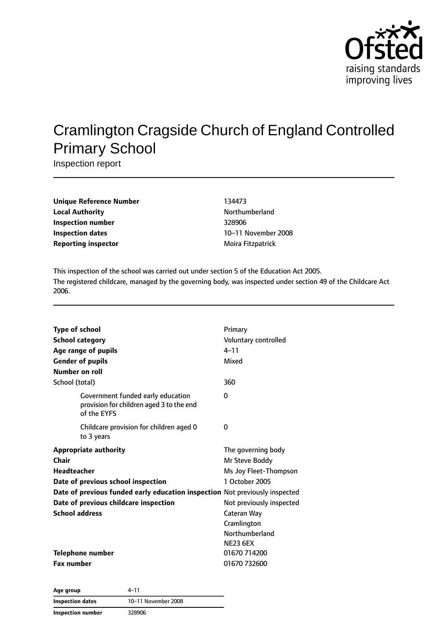

# Cramlington Cragside Church of England Controlled Primary School

Inspection report

| Unique Reference Number | 134473              |
|-------------------------|---------------------|
| Local Authority         | Northumberland      |
| Inspection number       | 328906              |
| Inspection dates        | 10-11 November 2008 |
| Reporting inspector     | Moira Fitzpatrick   |
|                         |                     |

This inspection of the school was carried out under section 5 of the Education Act 2005. The registered childcare, managed by the governing body, was inspected under section 49 of the Childcare Act 2006.

| <b>Type of school</b><br><b>School category</b><br>Age range of pupils<br><b>Gender of pupils</b><br>Number on roll | Primary<br>Voluntary controlled<br>$4 - 11$<br>Mixed |
|---------------------------------------------------------------------------------------------------------------------|------------------------------------------------------|
| School (total)                                                                                                      | 360                                                  |
| Government funded early education<br>provision for children aged 3 to the end<br>of the EYFS                        | 0                                                    |
| Childcare provision for children aged 0<br>to 3 years                                                               | 0                                                    |
| <b>Appropriate authority</b>                                                                                        | The governing body                                   |
| Chair                                                                                                               | Mr Steve Boddy                                       |
| <b>Headteacher</b>                                                                                                  | Ms Joy Fleet-Thompson                                |
| Date of previous school inspection                                                                                  | 1 October 2005                                       |
| Date of previous funded early education inspection Not previously inspected                                         |                                                      |
| Date of previous childcare inspection                                                                               | Not previously inspected                             |
| <b>School address</b>                                                                                               | Cateran Way                                          |
|                                                                                                                     | Cramlington                                          |
|                                                                                                                     | Northumberland                                       |
|                                                                                                                     | <b>NE23 6EX</b>                                      |
| <b>Telephone number</b>                                                                                             | 01670 714200                                         |
| <b>Fax number</b>                                                                                                   | 01670 732600                                         |

**Age group** 4–11 **Inspection dates** 10–11 November 2008 **Inspection number** 328906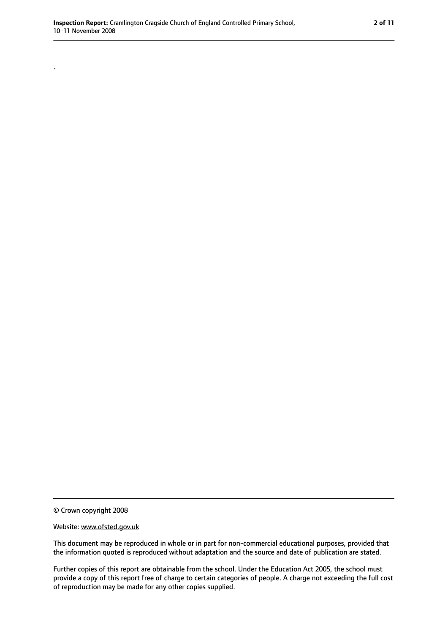© Crown copyright 2008

.

#### Website: www.ofsted.gov.uk

This document may be reproduced in whole or in part for non-commercial educational purposes, provided that the information quoted is reproduced without adaptation and the source and date of publication are stated.

Further copies of this report are obtainable from the school. Under the Education Act 2005, the school must provide a copy of this report free of charge to certain categories of people. A charge not exceeding the full cost of reproduction may be made for any other copies supplied.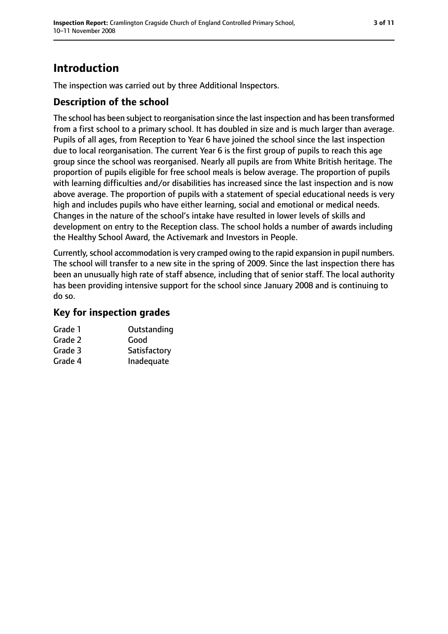## **Introduction**

The inspection was carried out by three Additional Inspectors.

### **Description of the school**

The school has been subject to reorganisation since the last inspection and has been transformed from a first school to a primary school. It has doubled in size and is much larger than average. Pupils of all ages, from Reception to Year 6 have joined the school since the last inspection due to local reorganisation. The current Year 6 is the first group of pupils to reach this age group since the school was reorganised. Nearly all pupils are from White British heritage. The proportion of pupils eligible for free school meals is below average. The proportion of pupils with learning difficulties and/or disabilities has increased since the last inspection and is now above average. The proportion of pupils with a statement of special educational needs is very high and includes pupils who have either learning, social and emotional or medical needs. Changes in the nature of the school's intake have resulted in lower levels of skills and development on entry to the Reception class. The school holds a number of awards including the Healthy School Award, the Activemark and Investors in People.

Currently, school accommodation is very cramped owing to the rapid expansion in pupil numbers. The school will transfer to a new site in the spring of 2009. Since the last inspection there has been an unusually high rate of staff absence, including that of senior staff. The local authority has been providing intensive support for the school since January 2008 and is continuing to do so.

### **Key for inspection grades**

| Grade 1 | Outstanding  |
|---------|--------------|
| Grade 2 | Good         |
| Grade 3 | Satisfactory |
| Grade 4 | Inadequate   |
|         |              |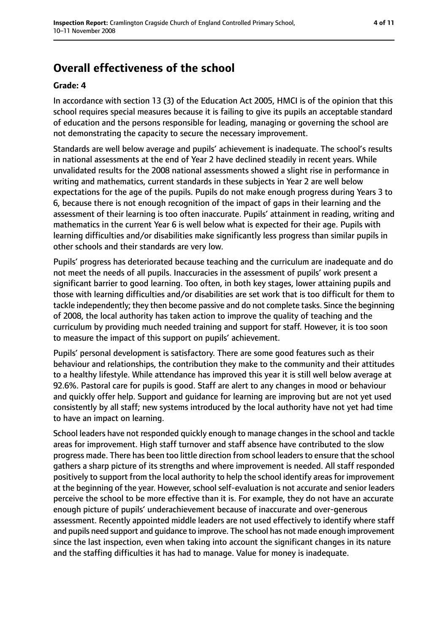## **Overall effectiveness of the school**

#### **Grade: 4**

In accordance with section 13 (3) of the Education Act 2005, HMCI is of the opinion that this school requires special measures because it is failing to give its pupils an acceptable standard of education and the persons responsible for leading, managing or governing the school are not demonstrating the capacity to secure the necessary improvement.

Standards are well below average and pupils' achievement is inadequate. The school's results in national assessments at the end of Year 2 have declined steadily in recent years. While unvalidated results for the 2008 national assessments showed a slight rise in performance in writing and mathematics, current standards in these subjects in Year 2 are well below expectations for the age of the pupils. Pupils do not make enough progress during Years 3 to 6, because there is not enough recognition of the impact of gaps in their learning and the assessment of their learning is too often inaccurate. Pupils' attainment in reading, writing and mathematics in the current Year 6 is well below what is expected for their age. Pupils with learning difficulties and/or disabilities make significantly less progress than similar pupils in other schools and their standards are very low.

Pupils' progress has deteriorated because teaching and the curriculum are inadequate and do not meet the needs of all pupils. Inaccuracies in the assessment of pupils' work present a significant barrier to good learning. Too often, in both key stages, lower attaining pupils and those with learning difficulties and/or disabilities are set work that is too difficult for them to tackle independently; they then become passive and do not complete tasks. Since the beginning of 2008, the local authority has taken action to improve the quality of teaching and the curriculum by providing much needed training and support for staff. However, it is too soon to measure the impact of this support on pupils' achievement.

Pupils' personal development is satisfactory. There are some good features such as their behaviour and relationships, the contribution they make to the community and their attitudes to a healthy lifestyle. While attendance has improved this year it is still well below average at 92.6%. Pastoral care for pupils is good. Staff are alert to any changes in mood or behaviour and quickly offer help. Support and guidance for learning are improving but are not yet used consistently by all staff; new systems introduced by the local authority have not yet had time to have an impact on learning.

School leaders have not responded quickly enough to manage changes in the school and tackle areas for improvement. High staff turnover and staff absence have contributed to the slow progress made. There has been too little direction from school leaders to ensure that the school gathers a sharp picture of its strengths and where improvement is needed. All staff responded positively to support from the local authority to help the school identify areas for improvement at the beginning of the year. However, school self-evaluation is not accurate and senior leaders perceive the school to be more effective than it is. For example, they do not have an accurate enough picture of pupils' underachievement because of inaccurate and over-generous assessment. Recently appointed middle leaders are not used effectively to identify where staff and pupils need support and guidance to improve. The school has not made enough improvement since the last inspection, even when taking into account the significant changes in its nature and the staffing difficulties it has had to manage. Value for money is inadequate.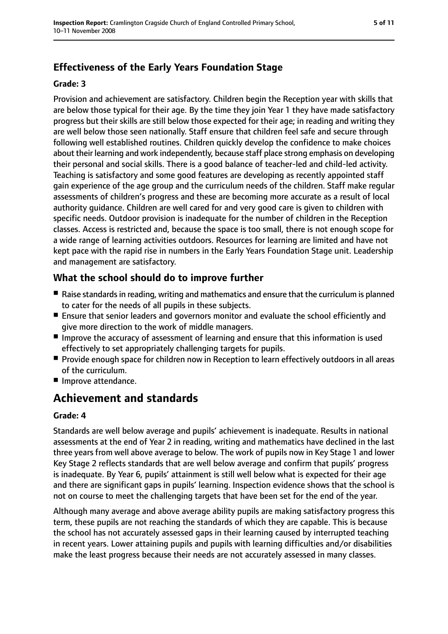## **Effectiveness of the Early Years Foundation Stage**

#### **Grade: 3**

Provision and achievement are satisfactory. Children begin the Reception year with skills that are below those typical for their age. By the time they join Year 1 they have made satisfactory progress but their skills are still below those expected for their age; in reading and writing they are well below those seen nationally. Staff ensure that children feel safe and secure through following well established routines. Children quickly develop the confidence to make choices about their learning and work independently, because staff place strong emphasis on developing their personal and social skills. There is a good balance of teacher-led and child-led activity. Teaching is satisfactory and some good features are developing as recently appointed staff gain experience of the age group and the curriculum needs of the children. Staff make regular assessments of children's progress and these are becoming more accurate as a result of local authority guidance. Children are well cared for and very good care is given to children with specific needs. Outdoor provision is inadequate for the number of children in the Reception classes. Access is restricted and, because the space is too small, there is not enough scope for a wide range of learning activities outdoors. Resources for learning are limited and have not kept pace with the rapid rise in numbers in the Early Years Foundation Stage unit. Leadership and management are satisfactory.

### **What the school should do to improve further**

- Raise standards in reading, writing and mathematics and ensure that the curriculum is planned to cater for the needs of all pupils in these subjects.
- Ensure that senior leaders and governors monitor and evaluate the school efficiently and give more direction to the work of middle managers.
- Improve the accuracy of assessment of learning and ensure that this information is used effectively to set appropriately challenging targets for pupils.
- Provide enough space for children now in Reception to learn effectively outdoors in all areas of the curriculum.
- Improve attendance.

## **Achievement and standards**

#### **Grade: 4**

Standards are well below average and pupils' achievement is inadequate. Results in national assessments at the end of Year 2 in reading, writing and mathematics have declined in the last three years from well above average to below. The work of pupils now in Key Stage 1 and lower Key Stage 2 reflects standards that are well below average and confirm that pupils' progress is inadequate. By Year 6, pupils' attainment is still well below what is expected for their age and there are significant gaps in pupils' learning. Inspection evidence shows that the school is not on course to meet the challenging targets that have been set for the end of the year.

Although many average and above average ability pupils are making satisfactory progress this term, these pupils are not reaching the standards of which they are capable. This is because the school has not accurately assessed gaps in their learning caused by interrupted teaching in recent years. Lower attaining pupils and pupils with learning difficulties and/or disabilities make the least progress because their needs are not accurately assessed in many classes.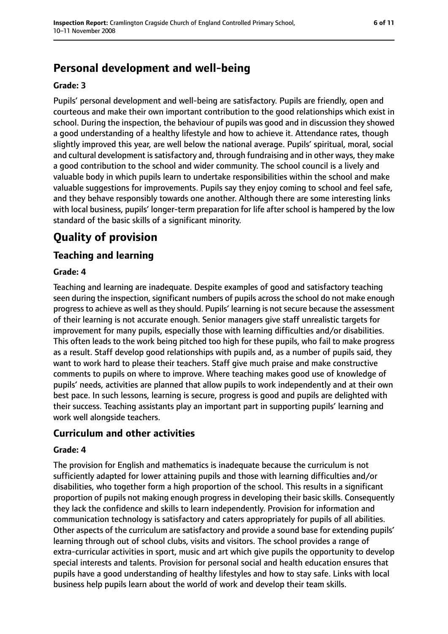## **Personal development and well-being**

#### **Grade: 3**

Pupils' personal development and well-being are satisfactory. Pupils are friendly, open and courteous and make their own important contribution to the good relationships which exist in school. During the inspection, the behaviour of pupils was good and in discussion they showed a good understanding of a healthy lifestyle and how to achieve it. Attendance rates, though slightly improved this year, are well below the national average. Pupils' spiritual, moral, social and cultural development is satisfactory and, through fundraising and in other ways, they make a good contribution to the school and wider community. The school council is a lively and valuable body in which pupils learn to undertake responsibilities within the school and make valuable suggestions for improvements. Pupils say they enjoy coming to school and feel safe, and they behave responsibly towards one another. Although there are some interesting links with local business, pupils' longer-term preparation for life after school is hampered by the low standard of the basic skills of a significant minority.

## **Quality of provision**

## **Teaching and learning**

#### **Grade: 4**

Teaching and learning are inadequate. Despite examples of good and satisfactory teaching seen during the inspection, significant numbers of pupils across the school do not make enough progress to achieve as well as they should. Pupils' learning is not secure because the assessment of their learning is not accurate enough. Senior managers give staff unrealistic targets for improvement for many pupils, especially those with learning difficulties and/or disabilities. This often leads to the work being pitched too high for these pupils, who fail to make progress as a result. Staff develop good relationships with pupils and, as a number of pupils said, they want to work hard to please their teachers. Staff give much praise and make constructive comments to pupils on where to improve. Where teaching makes good use of knowledge of pupils' needs, activities are planned that allow pupils to work independently and at their own best pace. In such lessons, learning is secure, progress is good and pupils are delighted with their success. Teaching assistants play an important part in supporting pupils' learning and work well alongside teachers.

#### **Curriculum and other activities**

#### **Grade: 4**

The provision for English and mathematics is inadequate because the curriculum is not sufficiently adapted for lower attaining pupils and those with learning difficulties and/or disabilities, who together form a high proportion of the school. This results in a significant proportion of pupils not making enough progress in developing their basic skills. Consequently they lack the confidence and skills to learn independently. Provision for information and communication technology is satisfactory and caters appropriately for pupils of all abilities. Other aspects of the curriculum are satisfactory and provide a sound base for extending pupils' learning through out of school clubs, visits and visitors. The school provides a range of extra-curricular activities in sport, music and art which give pupils the opportunity to develop special interests and talents. Provision for personal social and health education ensures that pupils have a good understanding of healthy lifestyles and how to stay safe. Links with local business help pupils learn about the world of work and develop their team skills.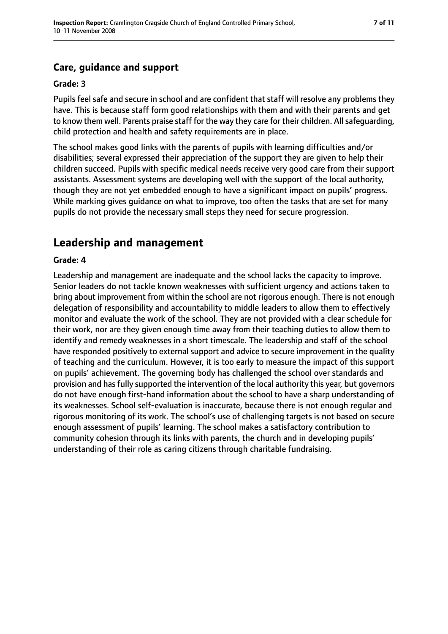## **Care, guidance and support**

#### **Grade: 3**

Pupils feel safe and secure in school and are confident that staff will resolve any problems they have. This is because staff form good relationships with them and with their parents and get to know them well. Parents praise staff for the way they care for their children. All safeguarding, child protection and health and safety requirements are in place.

The school makes good links with the parents of pupils with learning difficulties and/or disabilities; several expressed their appreciation of the support they are given to help their children succeed. Pupils with specific medical needs receive very good care from their support assistants. Assessment systems are developing well with the support of the local authority, though they are not yet embedded enough to have a significant impact on pupils' progress. While marking gives guidance on what to improve, too often the tasks that are set for many pupils do not provide the necessary small steps they need for secure progression.

## **Leadership and management**

#### **Grade: 4**

Leadership and management are inadequate and the school lacks the capacity to improve. Senior leaders do not tackle known weaknesses with sufficient urgency and actions taken to bring about improvement from within the school are not rigorous enough. There is not enough delegation of responsibility and accountability to middle leaders to allow them to effectively monitor and evaluate the work of the school. They are not provided with a clear schedule for their work, nor are they given enough time away from their teaching duties to allow them to identify and remedy weaknesses in a short timescale. The leadership and staff of the school have responded positively to external support and advice to secure improvement in the quality of teaching and the curriculum. However, it is too early to measure the impact of this support on pupils' achievement. The governing body has challenged the school over standards and provision and has fully supported the intervention of the local authority this year, but governors do not have enough first-hand information about the school to have a sharp understanding of its weaknesses. School self-evaluation is inaccurate, because there is not enough regular and rigorous monitoring of its work. The school's use of challenging targets is not based on secure enough assessment of pupils' learning. The school makes a satisfactory contribution to community cohesion through its links with parents, the church and in developing pupils' understanding of their role as caring citizens through charitable fundraising.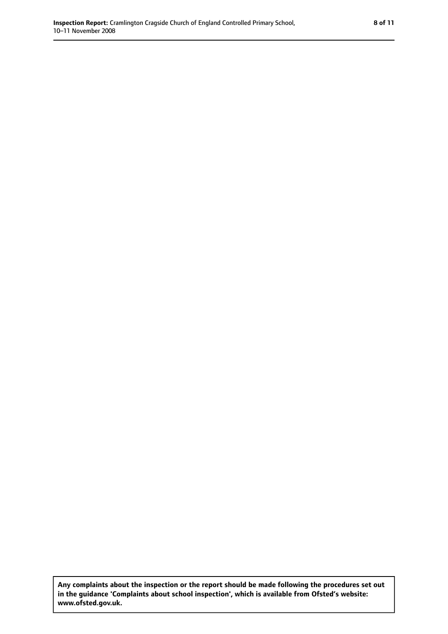**Any complaints about the inspection or the report should be made following the procedures set out in the guidance 'Complaints about school inspection', which is available from Ofsted's website: www.ofsted.gov.uk.**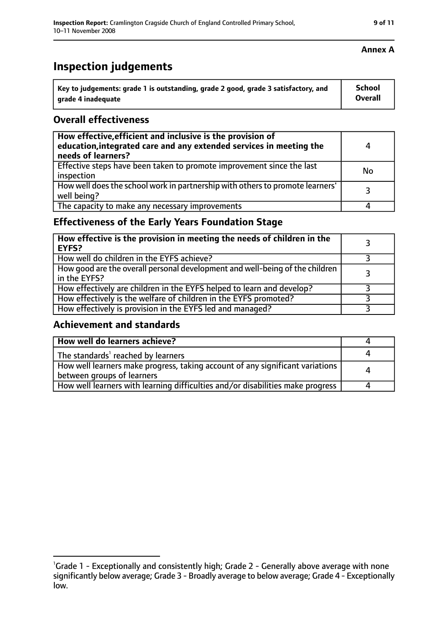| Key to judgements: grade 1 is outstanding, grade 2 good, grade 3 satisfactory, and | School  |
|------------------------------------------------------------------------------------|---------|
| grade 4 inadequate                                                                 | Overall |

### **Overall effectiveness**

| How effective, efficient and inclusive is the provision of<br>education, integrated care and any extended services in meeting the<br>needs of learners? | 4  |
|---------------------------------------------------------------------------------------------------------------------------------------------------------|----|
| Effective steps have been taken to promote improvement since the last<br>inspection                                                                     | No |
| How well does the school work in partnership with others to promote learners'<br>well being?                                                            | っ  |
| The capacity to make any necessary improvements                                                                                                         |    |

## **Effectiveness of the Early Years Foundation Stage**

| How effective is the provision in meeting the needs of children in the<br>EYFS?              |  |
|----------------------------------------------------------------------------------------------|--|
| How well do children in the EYFS achieve?                                                    |  |
| How good are the overall personal development and well-being of the children<br>in the EYFS? |  |
| How effectively are children in the EYFS helped to learn and develop?                        |  |
| How effectively is the welfare of children in the EYFS promoted?                             |  |
| How effectively is provision in the EYFS led and managed?                                    |  |

#### **Achievement and standards**

| How well do learners achieve?                                                                               |  |
|-------------------------------------------------------------------------------------------------------------|--|
| The standards <sup>1</sup> reached by learners                                                              |  |
| How well learners make progress, taking account of any significant variations<br>between groups of learners |  |
| How well learners with learning difficulties and/or disabilities make progress                              |  |

### **Annex A**

<sup>&</sup>lt;sup>1</sup>Grade 1 - Exceptionally and consistently high; Grade 2 - Generally above average with none significantly below average; Grade 3 - Broadly average to below average; Grade 4 - Exceptionally low.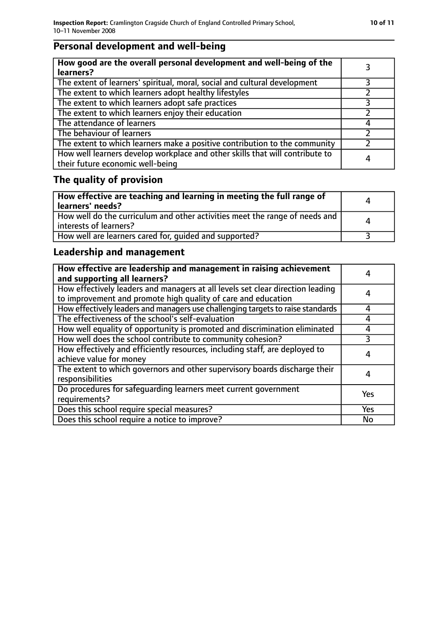## **Personal development and well-being**

| How good are the overall personal development and well-being of the<br>learners?                                 |   |
|------------------------------------------------------------------------------------------------------------------|---|
| The extent of learners' spiritual, moral, social and cultural development                                        |   |
| The extent to which learners adopt healthy lifestyles                                                            |   |
| The extent to which learners adopt safe practices                                                                |   |
| The extent to which learners enjoy their education                                                               |   |
| The attendance of learners                                                                                       |   |
| The behaviour of learners                                                                                        |   |
| The extent to which learners make a positive contribution to the community                                       |   |
| How well learners develop workplace and other skills that will contribute to<br>their future economic well-being | 4 |

## **The quality of provision**

| How effective are teaching and learning in meeting the full range of<br>learners' needs?              | Δ        |
|-------------------------------------------------------------------------------------------------------|----------|
| How well do the curriculum and other activities meet the range of needs and<br>interests of learners? | $\Delta$ |
| How well are learners cared for, quided and supported?                                                |          |

## **Leadership and management**

| How effective are leadership and management in raising achievement<br>and supporting all learners?                                              | 4         |
|-------------------------------------------------------------------------------------------------------------------------------------------------|-----------|
| How effectively leaders and managers at all levels set clear direction leading<br>to improvement and promote high quality of care and education | 4         |
| How effectively leaders and managers use challenging targets to raise standards                                                                 | 4         |
| The effectiveness of the school's self-evaluation                                                                                               | 4         |
| How well equality of opportunity is promoted and discrimination eliminated                                                                      | 4         |
| How well does the school contribute to community cohesion?                                                                                      | 3         |
| How effectively and efficiently resources, including staff, are deployed to<br>achieve value for money                                          | 4         |
| The extent to which governors and other supervisory boards discharge their<br>responsibilities                                                  | 4         |
| Do procedures for safequarding learners meet current government<br>requirements?                                                                | Yes       |
| Does this school require special measures?                                                                                                      | Yes       |
| Does this school require a notice to improve?                                                                                                   | <b>No</b> |